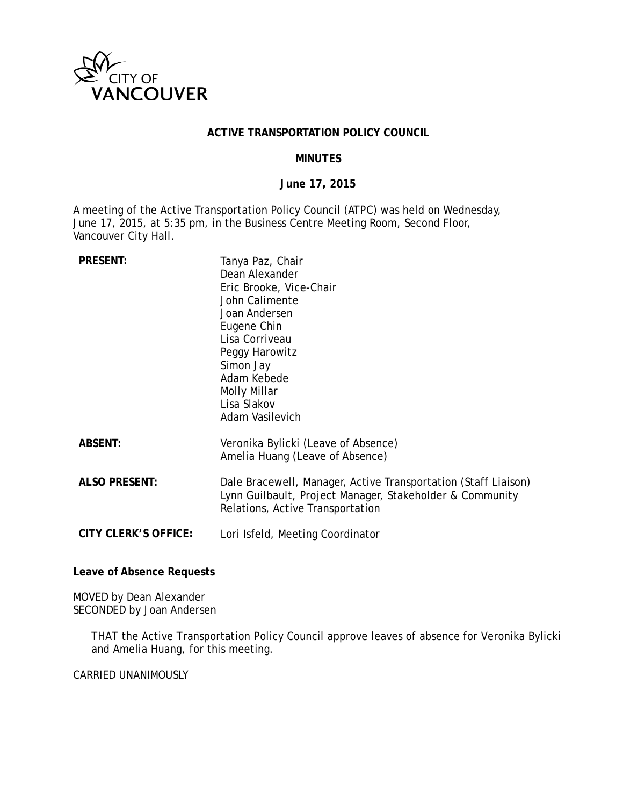

#### **ACTIVE TRANSPORTATION POLICY COUNCIL**

#### **MINUTES**

#### **June 17, 2015**

A meeting of the Active Transportation Policy Council (ATPC) was held on Wednesday, June 17, 2015, at 5:35 pm, in the Business Centre Meeting Room, Second Floor, Vancouver City Hall.

| <b>PRESENT:</b>             | Tanya Paz, Chair<br>Dean Alexander<br>Eric Brooke, Vice-Chair<br>John Calimente<br>Joan Andersen<br>Eugene Chin<br>Lisa Corriveau<br>Peggy Harowitz<br>Simon Jay<br>Adam Kebede<br>Molly Millar<br>Lisa Slakov<br>Adam Vasilevich |
|-----------------------------|-----------------------------------------------------------------------------------------------------------------------------------------------------------------------------------------------------------------------------------|
| <b>ABSENT:</b>              | Veronika Bylicki (Leave of Absence)<br>Amelia Huang (Leave of Absence)                                                                                                                                                            |
| <b>ALSO PRESENT:</b>        | Dale Bracewell, Manager, Active Transportation (Staff Liaison)<br>Lynn Guilbault, Project Manager, Stakeholder & Community<br>Relations, Active Transportation                                                                    |
| <b>CITY CLERK'S OFFICE:</b> | Lori Isfeld, Meeting Coordinator                                                                                                                                                                                                  |

**Leave of Absence Requests**

MOVED by Dean Alexander SECONDED by Joan Andersen

> THAT the Active Transportation Policy Council approve leaves of absence for Veronika Bylicki and Amelia Huang, for this meeting.

CARRIED UNANIMOUSLY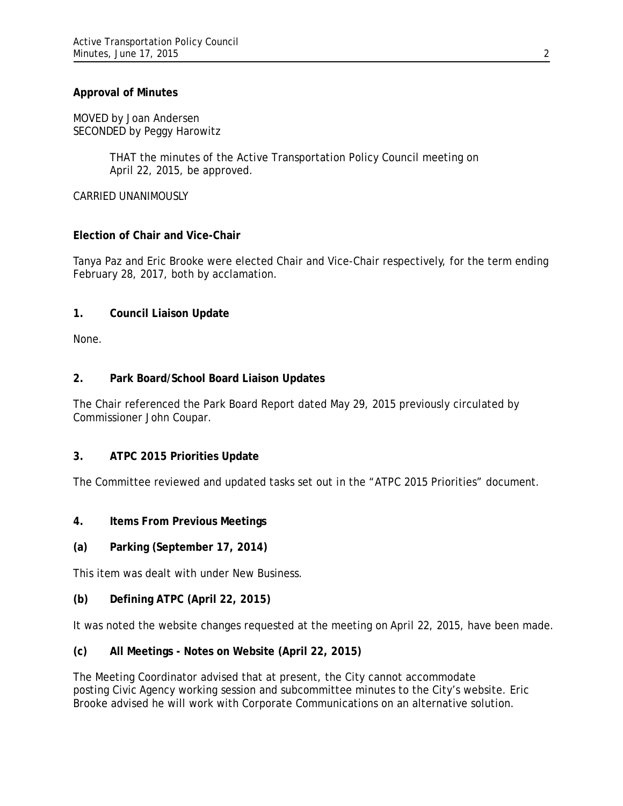### **Approval of Minutes**

MOVED by Joan Andersen SECONDED by Peggy Harowitz

> THAT the minutes of the Active Transportation Policy Council meeting on April 22, 2015, be approved.

CARRIED UNANIMOUSLY

### **Election of Chair and Vice-Chair**

Tanya Paz and Eric Brooke were elected Chair and Vice-Chair respectively, for the term ending February 28, 2017, both by acclamation.

### **1. Council Liaison Update**

None.

### **2. Park Board/School Board Liaison Updates**

The Chair referenced the Park Board Report dated May 29, 2015 previously circulated by Commissioner John Coupar.

### **3. ATPC 2015 Priorities Update**

The Committee reviewed and updated tasks set out in the "ATPC 2015 Priorities" document.

### **4. Items From Previous Meetings**

### **(a) Parking (September 17, 2014)**

This item was dealt with under New Business.

### **(b) Defining ATPC (April 22, 2015)**

It was noted the website changes requested at the meeting on April 22, 2015, have been made.

## **(c) All Meetings - Notes on Website (April 22, 2015)**

The Meeting Coordinator advised that at present, the City cannot accommodate posting Civic Agency working session and subcommittee minutes to the City's website. Eric Brooke advised he will work with Corporate Communications on an alternative solution.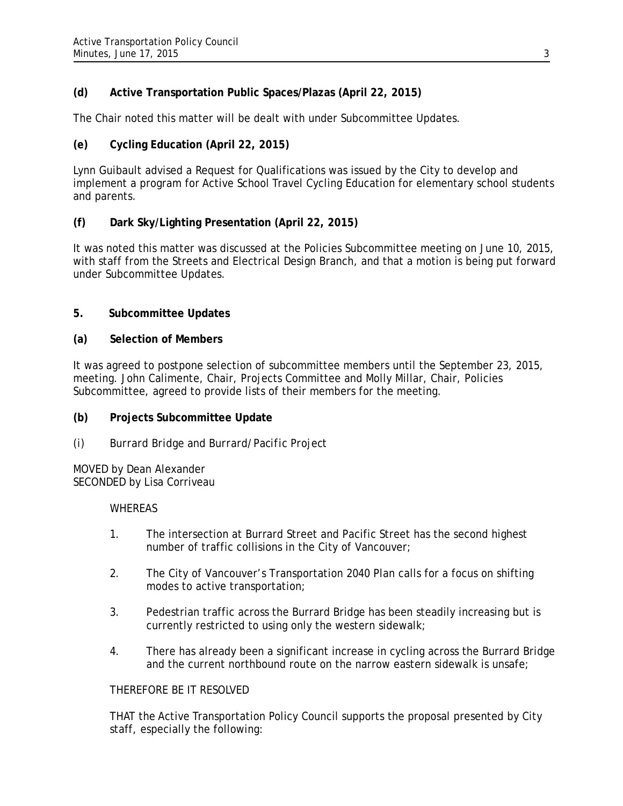## **(d) Active Transportation Public Spaces/Plazas (April 22, 2015)**

The Chair noted this matter will be dealt with under Subcommittee Updates.

### **(e) Cycling Education (April 22, 2015)**

Lynn Guibault advised a Request for Qualifications was issued by the City to develop and implement a program for Active School Travel Cycling Education for elementary school students and parents.

### **(f) Dark Sky/Lighting Presentation (April 22, 2015)**

It was noted this matter was discussed at the Policies Subcommittee meeting on June 10, 2015, with staff from the Streets and Electrical Design Branch, and that a motion is being put forward under Subcommittee Updates.

### **5. Subcommittee Updates**

#### **(a) Selection of Members**

It was agreed to postpone selection of subcommittee members until the September 23, 2015, meeting. John Calimente, Chair, Projects Committee and Molly Millar, Chair, Policies Subcommittee, agreed to provide lists of their members for the meeting.

### **(b) Projects Subcommittee Update**

*(i) Burrard Bridge and Burrard/Pacific Project*

MOVED by Dean Alexander SECONDED by Lisa Corriveau

#### **WHEREAS**

- 1. The intersection at Burrard Street and Pacific Street has the second highest number of traffic collisions in the City of Vancouver;
- 2. The City of Vancouver's Transportation 2040 Plan calls for a focus on shifting modes to active transportation;
- 3. Pedestrian traffic across the Burrard Bridge has been steadily increasing but is currently restricted to using only the western sidewalk;
- 4. There has already been a significant increase in cycling across the Burrard Bridge and the current northbound route on the narrow eastern sidewalk is unsafe;

### THEREFORE BE IT RESOLVED

THAT the Active Transportation Policy Council supports the proposal presented by City staff, especially the following: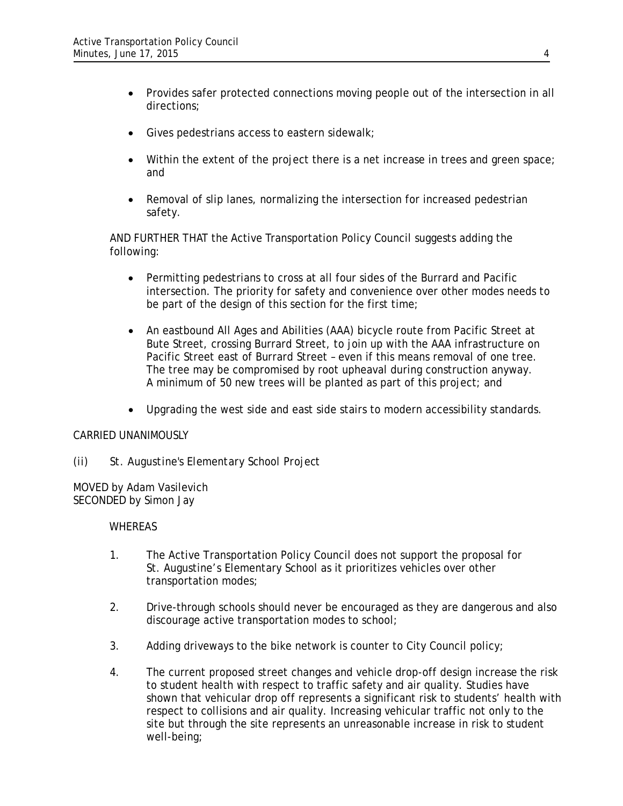- Provides safer protected connections moving people out of the intersection in all directions;
- Gives pedestrians access to eastern sidewalk;
- Within the extent of the project there is a net increase in trees and green space; and
- Removal of slip lanes, normalizing the intersection for increased pedestrian safety.

AND FURTHER THAT the Active Transportation Policy Council suggests adding the following:

- Permitting pedestrians to cross at all four sides of the Burrard and Pacific intersection. The priority for safety and convenience over other modes needs to be part of the design of this section for the first time;
- An eastbound All Ages and Abilities (AAA) bicycle route from Pacific Street at Bute Street, crossing Burrard Street, to join up with the AAA infrastructure on Pacific Street east of Burrard Street – even if this means removal of one tree. The tree may be compromised by root upheaval during construction anyway. A minimum of 50 new trees will be planted as part of this project; and
- Upgrading the west side and east side stairs to modern accessibility standards.

### CARRIED UNANIMOUSLY

*(ii) St. Augustine's Elementary School Project*

MOVED by Adam Vasilevich SECONDED by Simon Jay

#### WHEREAS

- 1. The Active Transportation Policy Council does not support the proposal for St. Augustine's Elementary School as it prioritizes vehicles over other transportation modes;
- 2. Drive-through schools should never be encouraged as they are dangerous and also discourage active transportation modes to school;
- 3. Adding driveways to the bike network is counter to City Council policy;
- 4. The current proposed street changes and vehicle drop-off design increase the risk to student health with respect to traffic safety and air quality. Studies have shown that vehicular drop off represents a significant risk to students' health with respect to collisions and air quality. Increasing vehicular traffic not only to the site but through the site represents an unreasonable increase in risk to student well-being;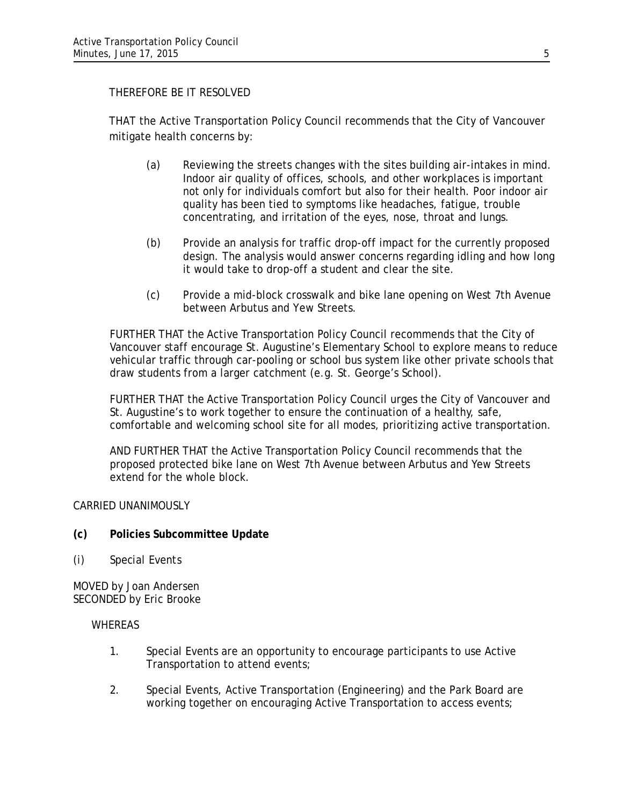### THEREFORE BE IT RESOLVED

THAT the Active Transportation Policy Council recommends that the City of Vancouver mitigate health concerns by:

- (a) Reviewing the streets changes with the sites building air-intakes in mind. Indoor air quality of offices, schools, and other workplaces is important not only for individuals comfort but also for their health. Poor indoor air quality has been tied to symptoms like headaches, fatigue, trouble concentrating, and irritation of the eyes, nose, throat and lungs.
- (b) Provide an analysis for traffic drop-off impact for the currently proposed design. The analysis would answer concerns regarding idling and how long it would take to drop-off a student and clear the site.
- (c) Provide a mid-block crosswalk and bike lane opening on West 7th Avenue between Arbutus and Yew Streets.

FURTHER THAT the Active Transportation Policy Council recommends that the City of Vancouver staff encourage St. Augustine's Elementary School to explore means to reduce vehicular traffic through car-pooling or school bus system like other private schools that draw students from a larger catchment (e.g. St. George's School).

FURTHER THAT the Active Transportation Policy Council urges the City of Vancouver and St. Augustine's to work together to ensure the continuation of a healthy, safe, comfortable and welcoming school site for all modes, prioritizing active transportation.

AND FURTHER THAT the Active Transportation Policy Council recommends that the proposed protected bike lane on West 7th Avenue between Arbutus and Yew Streets extend for the whole block.

CARRIED UNANIMOUSLY

- **(c) Policies Subcommittee Update**
- *(i) Special Events*

MOVED by Joan Andersen SECONDED by Eric Brooke

#### **WHEREAS**

- 1. Special Events are an opportunity to encourage participants to use Active Transportation to attend events;
- 2. Special Events, Active Transportation (Engineering) and the Park Board are working together on encouraging Active Transportation to access events;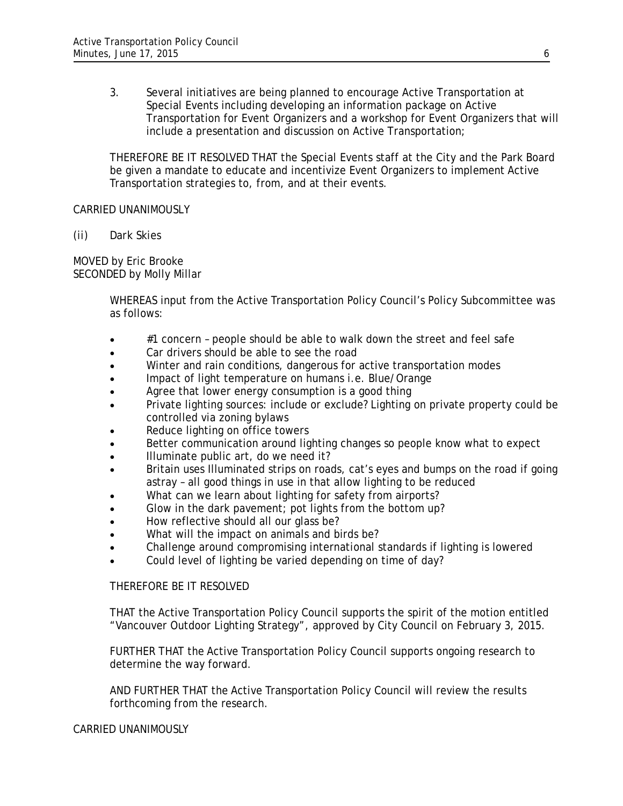3. Several initiatives are being planned to encourage Active Transportation at Special Events including developing an information package on Active Transportation for Event Organizers and a workshop for Event Organizers that will include a presentation and discussion on Active Transportation;

THEREFORE BE IT RESOLVED THAT the Special Events staff at the City and the Park Board be given a mandate to educate and incentivize Event Organizers to implement Active Transportation strategies to, from, and at their events.

#### CARRIED UNANIMOUSLY

*(ii) Dark Skies*

MOVED by Eric Brooke SECONDED by Molly Millar

> WHEREAS input from the Active Transportation Policy Council's Policy Subcommittee was as follows:

- #1 concern people should be able to walk down the street and feel safe
- Car drivers should be able to see the road
- Winter and rain conditions, dangerous for active transportation modes
- Impact of light temperature on humans i.e. Blue/Orange
- Agree that lower energy consumption is a good thing
- Private lighting sources: include or exclude? Lighting on private property could be controlled via zoning bylaws
- Reduce lighting on office towers
- Better communication around lighting changes so people know what to expect
- Illuminate public art, do we need it?
- Britain uses Illuminated strips on roads, cat's eyes and bumps on the road if going astray – all good things in use in that allow lighting to be reduced
- What can we learn about lighting for safety from airports?
- Glow in the dark pavement; pot lights from the bottom up?
- How reflective should all our glass be?
- What will the impact on animals and birds be?
- Challenge around compromising international standards if lighting is lowered
- Could level of lighting be varied depending on time of day?

#### THEREFORE BE IT RESOLVED

THAT the Active Transportation Policy Council supports the spirit of the motion entitled "Vancouver Outdoor Lighting Strategy", approved by City Council on February 3, 2015.

FURTHER THAT the Active Transportation Policy Council supports ongoing research to determine the way forward.

AND FURTHER THAT the Active Transportation Policy Council will review the results forthcoming from the research.

#### CARRIED UNANIMOUSLY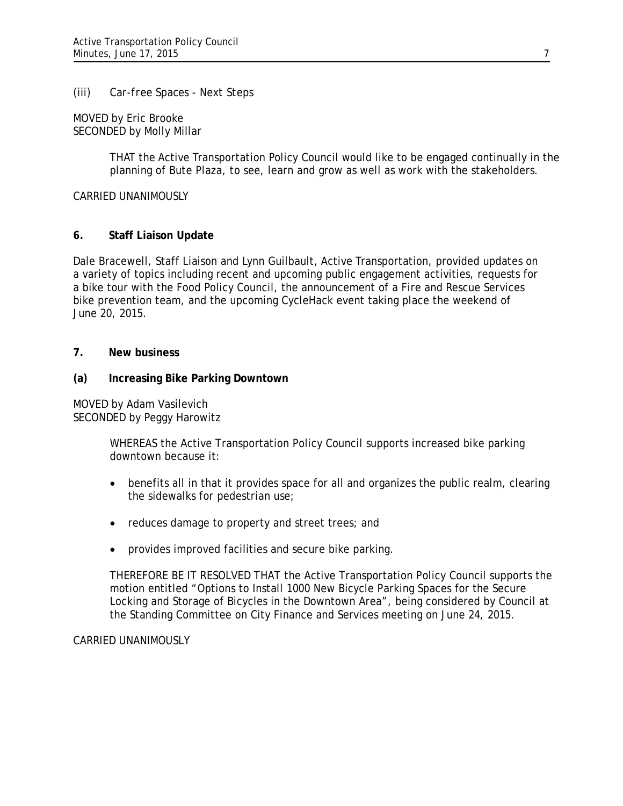#### (iii) *Car-free Spaces - Next Steps*

MOVED by Eric Brooke SECONDED by Molly Millar

> THAT the Active Transportation Policy Council would like to be engaged continually in the planning of Bute Plaza, to see, learn and grow as well as work with the stakeholders.

CARRIED UNANIMOUSLY

### **6. Staff Liaison Update**

Dale Bracewell, Staff Liaison and Lynn Guilbault, Active Transportation, provided updates on a variety of topics including recent and upcoming public engagement activities, requests for a bike tour with the Food Policy Council, the announcement of a Fire and Rescue Services bike prevention team, and the upcoming CycleHack event taking place the weekend of June 20, 2015.

### **7. New business**

#### **(a) Increasing Bike Parking Downtown**

MOVED by Adam Vasilevich SECONDED by Peggy Harowitz

> WHEREAS the Active Transportation Policy Council supports increased bike parking downtown because it:

- benefits all in that it provides space for all and organizes the public realm, clearing the sidewalks for pedestrian use;
- reduces damage to property and street trees; and
- provides improved facilities and secure bike parking.

THEREFORE BE IT RESOLVED THAT the Active Transportation Policy Council supports the motion entitled "Options to Install 1000 New Bicycle Parking Spaces for the Secure Locking and Storage of Bicycles in the Downtown Area", being considered by Council at the Standing Committee on City Finance and Services meeting on June 24, 2015.

#### CARRIED UNANIMOUSLY